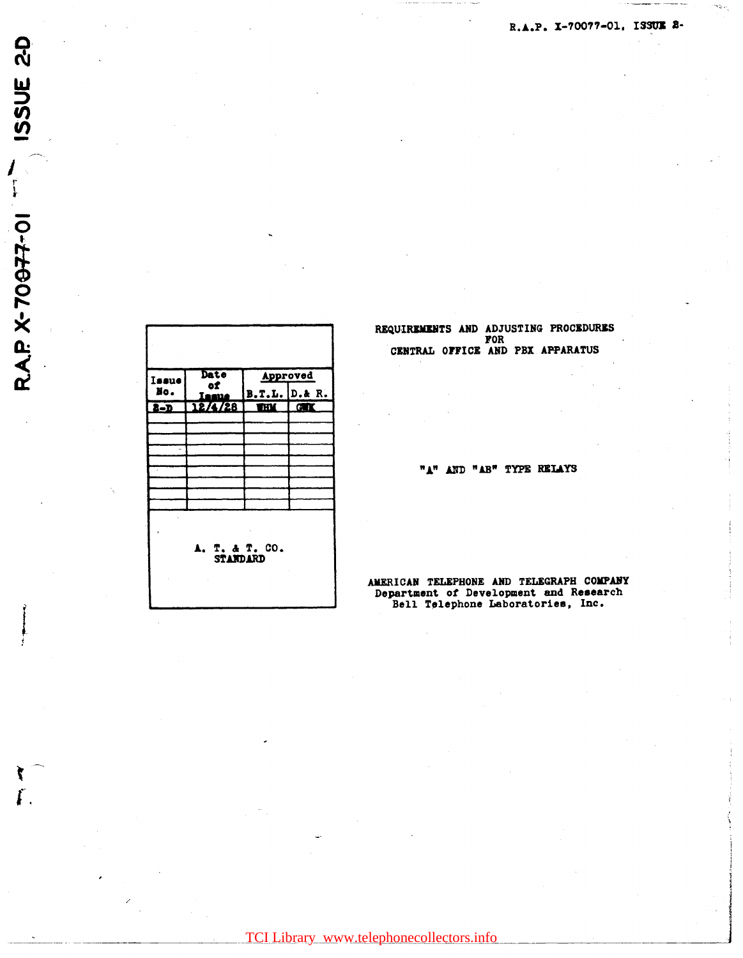| Issue                             | Date<br>of |                      | Approved    |  |
|-----------------------------------|------------|----------------------|-------------|--|
| No.                               | E.<br>m    | <b>B.T.L.</b> D.& R. |             |  |
| $\overline{\mathbf{c}}$           | 12/4/28    | mи                   | <b>CALL</b> |  |
|                                   |            |                      |             |  |
|                                   |            |                      |             |  |
|                                   |            |                      |             |  |
|                                   |            |                      |             |  |
|                                   |            |                      |             |  |
|                                   |            |                      |             |  |
|                                   |            |                      |             |  |
| A. T. & T. CO.<br><b>STANDARD</b> |            |                      |             |  |

ISSUE 2-D

 $\begin{bmatrix} 1 \\ 1 \\ 1 \end{bmatrix}$ 

**RAP X-70077-01** 

 $\mathbf{r}$ 

REQUIREMENTS AND ADJUSTING PROCEDURES FOR CENTRAL OFFICE AND PBX APPARATUS

"A" AND "AB" TYPE RELAYS

AMERICAN TELEPHONE AND TELEGRAPH COMPANY Department of Development and Research Bell Telephone Laboratories, Inc.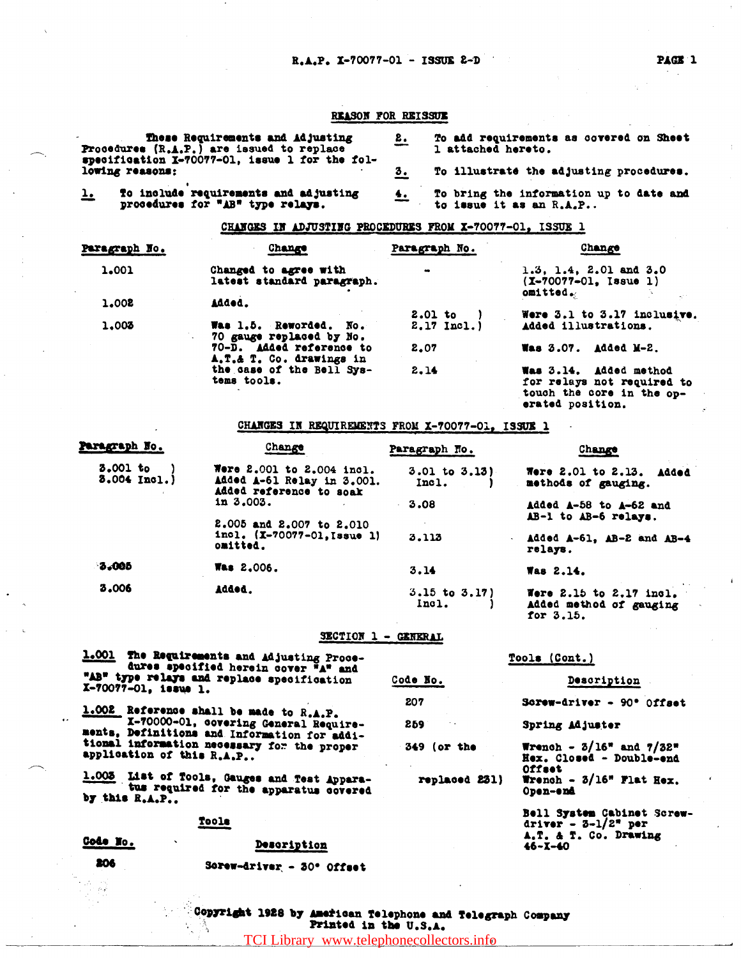# REASON FOR REISSUE

| These Requirements and Adjusting<br><b>Procedures <math>(R.A.P.)</math> are issued to replace</b><br>specification X-70077-01, issue 1 for the fol- |  | To add requirements as covered on Sheet<br>1 attached hereto.      |
|-----------------------------------------------------------------------------------------------------------------------------------------------------|--|--------------------------------------------------------------------|
| lowing reasons:                                                                                                                                     |  | To illustrate the adjusting procedures.                            |
| To include requirements and adjusting<br><u>ı.</u><br>procedures for "AB" type relays.                                                              |  | To bring the information up to date and<br>to issue it as an R.A.P |

# CHANGES IN ADJUSTING PROCEDURES FROM X-70077-01, ISSUE 1

| Change                                              | Paragraph No.                                        | Change                                                       |
|-----------------------------------------------------|------------------------------------------------------|--------------------------------------------------------------|
| Changed to agree with<br>latest standard paragraph. | $\bullet$                                            | 1.3, 1.4, 2.01 and 3.0<br>$(X-70077-01, Issu 1)$<br>omitted. |
| Added.                                              |                                                      |                                                              |
|                                                     |                                                      | Were 3.1 to 3.17 inclusive.                                  |
| Was 1.5. Reworded. No.                              | $2.17$ Incl.)                                        | Added illustrations.                                         |
| 70-D. Added reference to                            | 2.07                                                 | <b>Was 3.07.</b><br>Added M-2.                               |
| the case of the Bell Sys-                           | 2.14                                                 | Was 3.14. Added method                                       |
| tems tools.                                         |                                                      | for relays not required to                                   |
|                                                     |                                                      | touch the core in the op-<br>erated position.                |
|                                                     | 70 gauge replaced by No.<br>A.T.& T. Co. drawings in | $2.01$ to                                                    |

# CHANGES IN REQUIREMENTS FROM X-70077-01, ISSUE 1

| Paragraph No.            | Change                                                                             | Paragraph No.               | Change                                                       |
|--------------------------|------------------------------------------------------------------------------------|-----------------------------|--------------------------------------------------------------|
| 3.001 to<br>3.004 Incl.) | Were 2.001 to 2.004 incl.<br>Added A-61 Relay in 3.001.<br>Added reference to soak | $3.01$ to $3.13$ )<br>Incl. | Were 2.01 to 2.13.<br>Added<br>methods of gauging.           |
|                          | in 3.003.                                                                          | 3.08                        | Added A-58 to A-62 and                                       |
|                          | 2.005 and 2.007 to 2.010<br>incl. (X-70077-01, Issue 1)<br>omitted.                | 3.113                       | AB-1 to AB-6 relays.<br>Added A-61, AB-2 and AB-4<br>relays. |
| 8.005                    | <b>Was 2.006.</b>                                                                  | 3.14                        | Was 2.14.                                                    |
| 3.006                    | <b>Added.</b>                                                                      | $3.15$ to $3.17$<br>Inc1.   | Were $2.15$ to $2.17$ incl.<br>added method of cancing       |

### SECTION 1 - GENERAL

for  $3.15.$ 

|                           | 1.001 The Esquirements and Adjusting Proce-<br>dures specified herein cover "A" and    | Tools (Cont.) |                                                                              |
|---------------------------|----------------------------------------------------------------------------------------|---------------|------------------------------------------------------------------------------|
| X-70077-01, issue 1.      | "AB" type relays and replace specification                                             | Code No.      | Description                                                                  |
|                           | 1.002 Reference shall be made to R.A.P.                                                | 207           | Screw-driver - 90° Offset                                                    |
|                           | X-70000-01, covering General Require-<br>ments. Definitions and Information for addi-  | 259           | Spring Adjuster                                                              |
| application of this R.A.P | tional information necessary for the proper                                            | 349 (or the   | <b>Wrench - 3/16* and 7/32*</b><br>Hex. Closed - Double-end<br><b>Offset</b> |
| by this R.A.P             | 1.003 List of Tools, Gauges and Test Appara-<br>tus required for the apparatus covered | replaced 231) | Wrench $\sim 3/16$ " Flat Hex.<br>Open-end                                   |
|                           | Toole                                                                                  |               | Bell System Cabinet Screw<br>driver - $3-1/2$ * per                          |
| Code No.                  | Description                                                                            |               | A.T. & T. Co. Drawing<br>$46 - X - 40$                                       |

206

Description Sorew-driver - 30° Offset

| Copyright 1928 by American Telephone and Telegraph Company |  |                       |  |  |
|------------------------------------------------------------|--|-----------------------|--|--|
|                                                            |  | Printed in the U.S.A. |  |  |

TCI Library www.telephonecollectors.info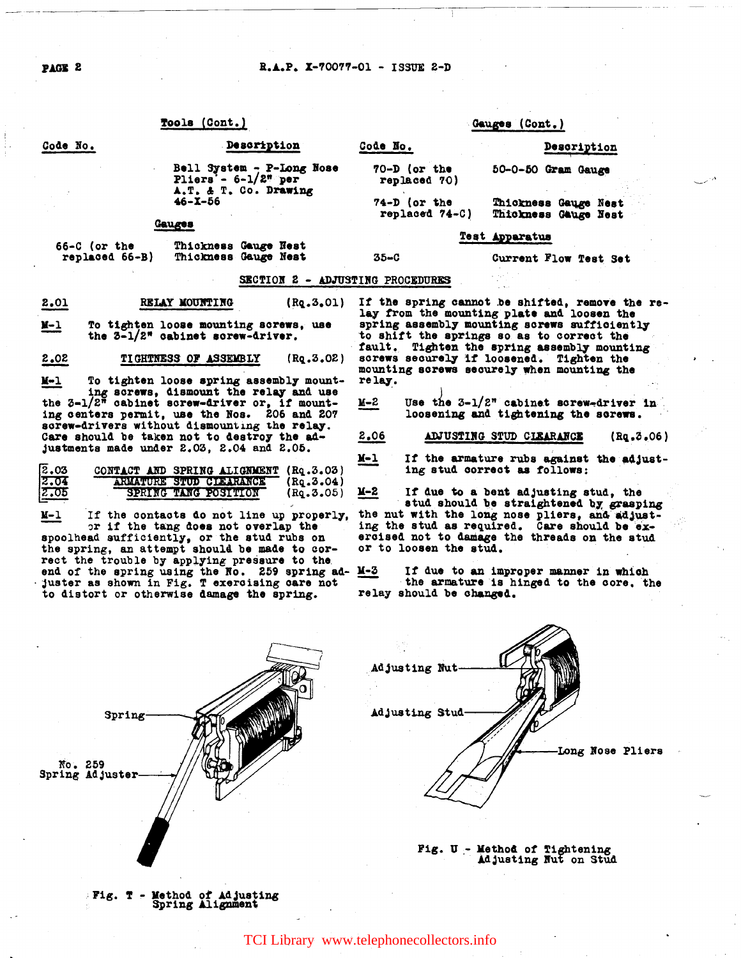### R.A.P. X-70077-01 - ISSUE 2-D

# Tools (Cont.)

#### Gauges (Cont.)

| <u>No.</u> | Description                                                                  | Code No.                         |                                              | Description |  |
|------------|------------------------------------------------------------------------------|----------------------------------|----------------------------------------------|-------------|--|
|            | Bell System - P-Long Nose<br>Pliers'- $6-1/2^n$ per<br>A.T. & T. Co. Drawing | 70-D (or the<br>replaced 70)     | 50-0-50 Gram Gauge                           |             |  |
|            | $46 - X - 56$                                                                | $74-D$ (or the<br>replaced 74-C) | Thickness Gauge Nest<br>Thickness Gauge Nest |             |  |
|            | Gauges                                                                       |                                  | Test Apparatus                               |             |  |

| $66-C$ (or the | Thickness Gauge Nest |  |
|----------------|----------------------|--|
| replaced 66-B) | Thickness Gauge Nest |  |

### SECTION 2 - ADJUSTING PROCEDURES

 $35 - C$ 

2.01 RELAY MOUNTING  $(Rq.3.01)$ 

 $N-1$ To tighten loose mounting screws, use the 3-1/2" cabinet screw-driver.

 $2.02$ TIGHTNESS OF ASSEMBLY  $(Rq.3.02)$ 

 $N-1$ To tighten loose spring assembly mounting screws, dismount the relay and use<br>the  $3-1/2^n$  cabinet screw-driver or, if mounting centers permit, use the Nos. 206 and 207 screw-drivers without dismounting the relay. Care should be taken not to destroy the adjustments made under 2.03, 2.04 and 2.05.

| 2.03 | CONTACT AND SPRING ALIGNMENT (Rq.3.03)       |                 |
|------|----------------------------------------------|-----------------|
| 2.04 | <b>FARMA QUESTION SYRED TELEPHRANOLOGICA</b> | $($ Rq.3.04 $)$ |
| 2.05 | <b>SERIO (COVALGO 2051000)</b>               | (Rq.3.05)       |

If the contacts do not line up properly,  $M-1$ or if the tang does not overlap the spoolhead sufficiently, or the stud rubs on the spring, an attempt should be made to correct the trouble by applying pressure to the end of the spring using the No. 259 spring ad- $\underline{M-3}$ <br>juster as shown in Fig. T exercising care not to distort or otherwise damage the spring.

If the spring cannot be shifted, remove the relay from the mounting plate and loosen the spring assembly mounting screws sufficiently to shift the springs so as to correct the fault. Tighten the spring assembly mounting screws securely if loosened. Tighten the mounting screws securely when mounting the relay.

Current Flow Test Set

Use the  $3-1/2^n$  cabinet screw-driver in K-2 loosening and tightening the screws.

ADJUSTING STUD CIEARANCE 2.06  $(Rq, 3.06)$ 

 $M-1$ If the armature rubs against the adjusting stud correct as follows:

X-2 If due to a bent adjusting stud, the stud should be straightened by grasping the nut with the long nose pliers, and adjusting the stud as required. Care should be exercised not to damage the threads on the stud or to loosen the stud.

If due to an improper manner in which the armature is hinged to the core, the relay should be changed.



# Fig. T - Method of Adjusting<br>Spring Alignment

## TCI Library www.telephonecollectors.info

Code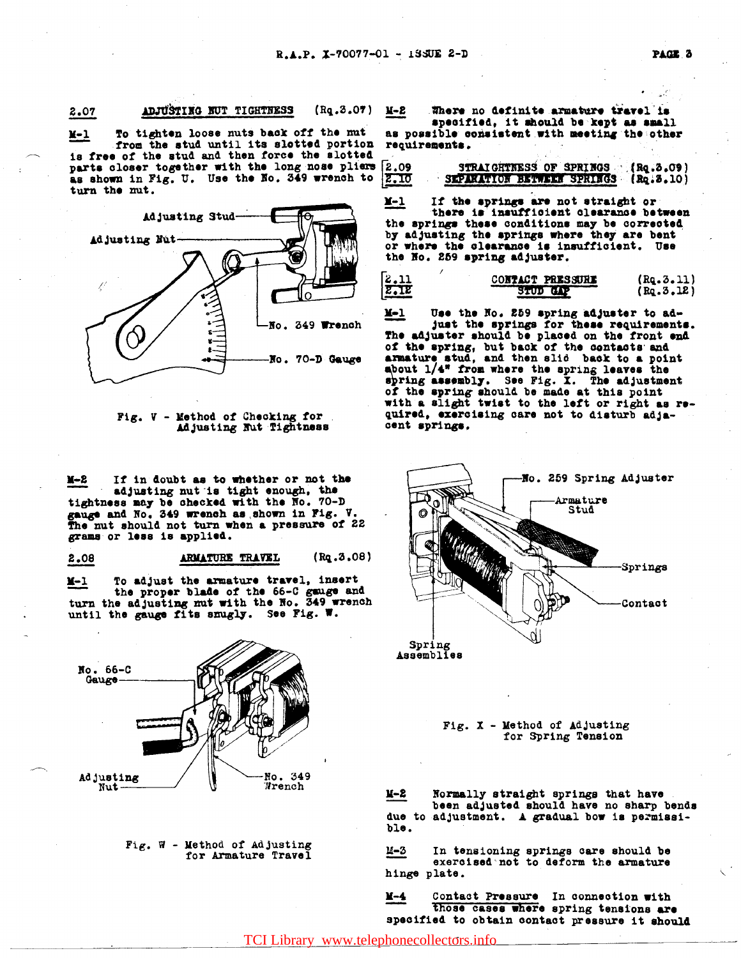#### $(Rq.3.07)$ ADJUSTING NUT TIGHTNESS 2.07

To tighten loose nuts back off the mut  $x-1$ from the stud until its slotted portion is free of the stud and then force the slotted parts closer together with the long nose pliers as shown in Fig. U. Use the No. 349 wrench to turn the mut.



Fig. V - Method of Checking for Adjusting Nut Tightness

If in doubt as to whether or not the ¥-2 adjusting nut is tight enough, the tightness may be checked with the No. 70-D gauge and No. 349 wrench as shown in Fig. V. The nut should not turn when a pressure of 22 grams or less is applied.

2.08 ARMATURE TRAVEL  $(Rq.3.08)$ 

To adjust the armature travel, insert  $X-1$ the proper blade of the 66-C gauge and turn the adjusting mut with the No. 349 wrench until the gauge fits smugly. See Fig. W.



Fig.  $\overline{w}$  - Method of Adjusting for Armature Travel

Where no definite armature travel is **M-2** 

specified, it should be kept as small as possible consistent with meeting the other requirements.

| 2.09 | STRAIGHTNESS OF SPRINGS (Rq.3.09)     |  |
|------|---------------------------------------|--|
| 2.IO | SEPARATION BETWEEN SPRINGS (Rq. 3.10) |  |

If the springs are not straight or X-1 there is insufficient clearance between the springs these conditions may be corrected by adjusting the springs where they are bent or where the clearance is insufficient. Use the No. 259 spring adjuster.

| 2.11    | CONTACT PRESSURE | (Rq.3.11)    |
|---------|------------------|--------------|
| $z$ -12 | <b>STUD GAP</b>  | $($ Rq.3.12) |

 $\underline{Y-1}$ Use the No. 259 spring adjuster to adjust the springs for these requirements. The adjuster should be placed on the front end of the spring, but back of the contacts and<br>armature stud, and then slid back to a point<br>about 1/4" from where the spring leaves the spring assembly. See Fig. I. The adjustment of the spring should be made at this point<br>with a slight twist to the left or right as required, exercising care not to disturb adjacent springs.



Fig.  $X$  - Method of Adjusting for Spring Tension

 $x-x$ Normally straight springs that have been adjusted should have no sharp bends due to adjustment. A gradual bow is permissible.

In tensioning springs care should be exercised not to deform the armature и-з hinge plate.

Contact Pressure In connection with **M-4** those cases where spring tensions are specified to obtain contact pressure it should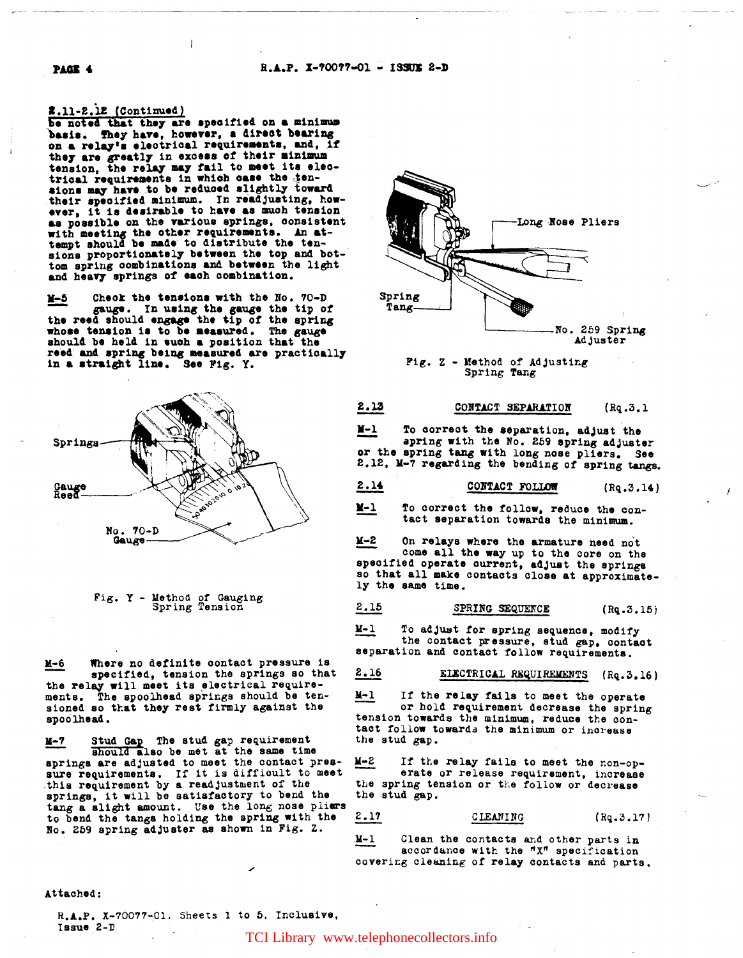R.A.P. X-70077-01 - ISSUE 2-D

2.13

2.16

#### 2.11-2.12 (Continued)

be noted that they are specified on a minimum basis. They have, however, a direct bearing on a relay's electrical requirements, and, if they are greatly in excess of their minimum<br>tension, the relay may fail to meet its elec-<br>trical requirements in which case the ten-<br>sions may have to be reduced slightly toward their specified minimum. In readjusting, however, it is desirable to have as much tension as possible on the various springs, consistent with meeting the other requirements. An attempt should be made to distribute the tensions proportionately between the top and bottom spring combinations and between the light and heavy springs of each combination.

Check the tensions with the No. 70-D  $y - 5$ gauge. In using the gauge the tip of the reed should engage the tip of the spring whose tension is to be measured. The gauge should be held in such a position that the reed and spring being measured are practically in a straight line. See Fig. Y.





Where no definite contact pressure is  $M - 6$ specified, tension the springs so that the relay will meet its electrical requirements. The spoolhead springs should be tensioned so that they rest firmly against the spoolhead.

Stud Gap The stud gap requirement<br>should also be met at the same time <u>M-7</u> springs are adjusted to meet the contact pressure requirements. If it is difficult to meet this requirement by a readjustment of the springs, it will be satisfactory to bend the tang a slight amount. Use the long nose pliers to bend the tangs holding the spring with the No. 259 spring adjuster as shown in Fig. 2.



Fig. Z - Method of Adjusting Spring Tang

#### CONTACT SEPARATION  $(Rq.3.1)$

N-1 To correct the separation, adjust the apring with the No. 259 spring adjuster or the spring tang with long nose pliers. See 2.12, M-7 regarding the bending of spring tangs.

| 2.14<br>CONTACT FOLLOW | (Rq.3.14) |
|------------------------|-----------|
|------------------------|-----------|

 $M-1$ To correct the follow, reduce the contact separation towards the minimum.

 $N-5$ On relays where the armature need not come all the way up to the core on the specified operate current, adjust the springs so that all make contacts close at approximately the same time.

#### 2.15 SPRING SEQUENCE  $(Rq.3.15)$

 $\overline{N-1}$ To adjust for spring sequence, modify the contact pressure, stud gap, contact separation and contact follow requirements.

# ELECTRICAL REQUIREMENTS (Rq. 3.16)

 $N-1$ If the relay fails to meet the operate or hold requirement decrease the spring tension towards the minimum, reduce the contact follow towards the minimum or increase the stud gap.

If the relay fails to meet the non-op-M-2 erate or release requirement, increase the spring tension or the follow or decrease the stud gap.

 $2.17$ CIEANING  $(Rq.3.17)$ 

Clean the contacts and other parts in **N-1** accordance with the "X" specification covering cleaning of relay contacts and parts.

Attached:

R.A.P. X-70077-01, Sheets 1 to 5, Inclusive, Issue 2-D

TCI Library www.telephonecollectors.info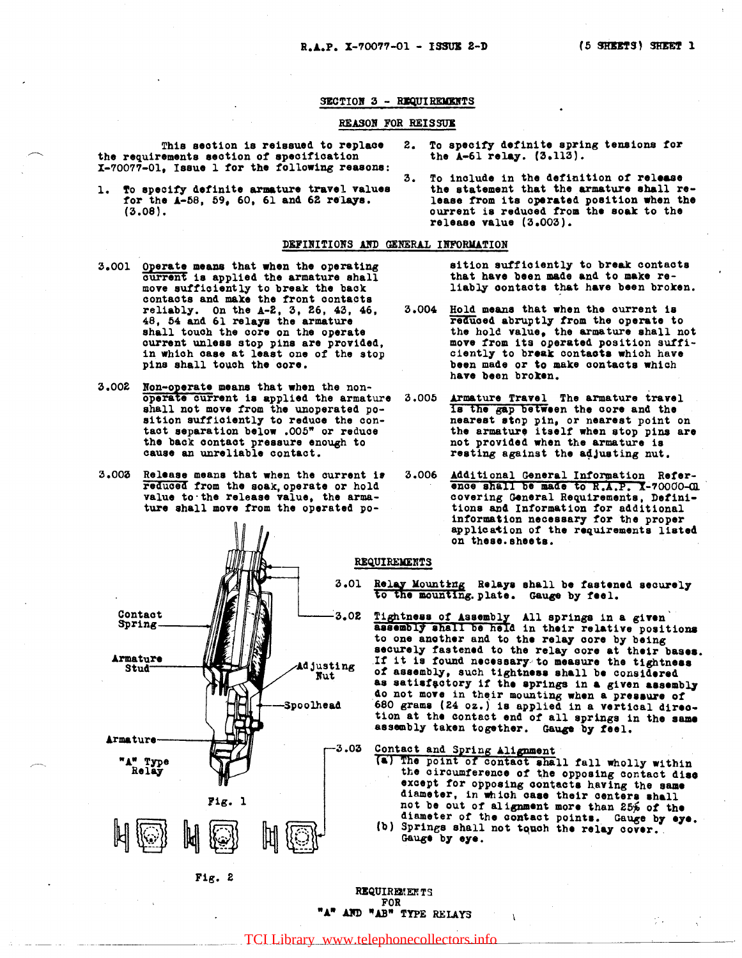### SECTION 3 - REQUIREMENTS

#### REASON FOR REISSUE

This section is reissued to replace the requirements section of specification X-70077-01, Issue 1 for the following reasons:

1. To specify definite armature travel values for the  $A-58$ , 59, 60, 61 and 62 relays.  $(3.08).$ 

#### DEFINITIONS AND GENERAL INFORMATION

- 3.001 Operate means that when the operating current is applied the armature shall move sufficiently to break the back contacts and make the front contacts reliably. On the  $A-2$ , 3, 26, 43, 46, 48, 54 and 61 relays the armature shall touch the core on the operate current unless stop pins are provided, in which case at least one of the stop pins shall touch the core.
- 3.002 Non-operate means that when the nonoperate current is applied the armature shall not move from the unoperated position sufficiently to reduce the contact separation below .005" or reduce the back contact pressure enough to cause an unreliable contact.
- 3.003 Release means that when the current is<br>reduced from the soak, operate or hold value to the release value, the armature shall move from the operated po-



 $Fig. 2$ 

- $2.$ To specify definite spring tensions for the  $A-61$  relay.  $(3,113)$ .
- To include in the definition of release  $3.$ the statement that the armature shall release from its operated position when the ourrent is reduced from the soak to the release value  $(3.003)$ .

sition sufficiently to break contacts that have been made and to make reliably contacts that have been broken.

- 3.004 Hold means that when the current is reduced abruptly from the operate to the hold value, the armature shall not move from its operated position sufficiently to break contacts which have been made or to make contacts which have been broken.
- 3.005 Armature Travel The armature travel Is the gap between the core and the nearest stop pin, or nearest point on the armature itself when stop pins are not provided when the armature is resting against the adjusting nut.
- 3.006 Additional General Information Refer-<br>ence shall be made to R.A.P. X-70000-CM covering General Requirements, Definitions and Information for additional information necessary for the proper application of the requirements listed on these.sheets.

#### REQUIREMENTS

3.01 Relay Mounting Relays shall be fastened securely to the mounting. plate. Gauge by feel.

3.02 Tightness of Assembly All springs in a given<br>assembly shall be held in their relative positions to one another and to the relay core by being securely fastened to the relay core at their bases. If it is found necessary to measure the tightness of assembly, such tightness shall be considered as satisfactory if the springs in a given assembly do not move in their mounting when a pressure of 680 grams (24 oz.) is applied in a vertical direction at the contact end of all springs in the same assembly taken together. Gauge by feel.

# Contact and Spring Alignment

- (a) The point of contact shall fall wholly within the circumference of the opposing contact disc except for opposing contacts having the same diameter, in which case their centers shall not be out of alignment more than 25% of the diameter of the contact points. Gauge by eye.<br>(b) Springs shall not touch the relay cover.
- Gauge by eye.

ψÜ.

**REQUIREMENTS FOR** "A" AND "AB" TYPE RELAYS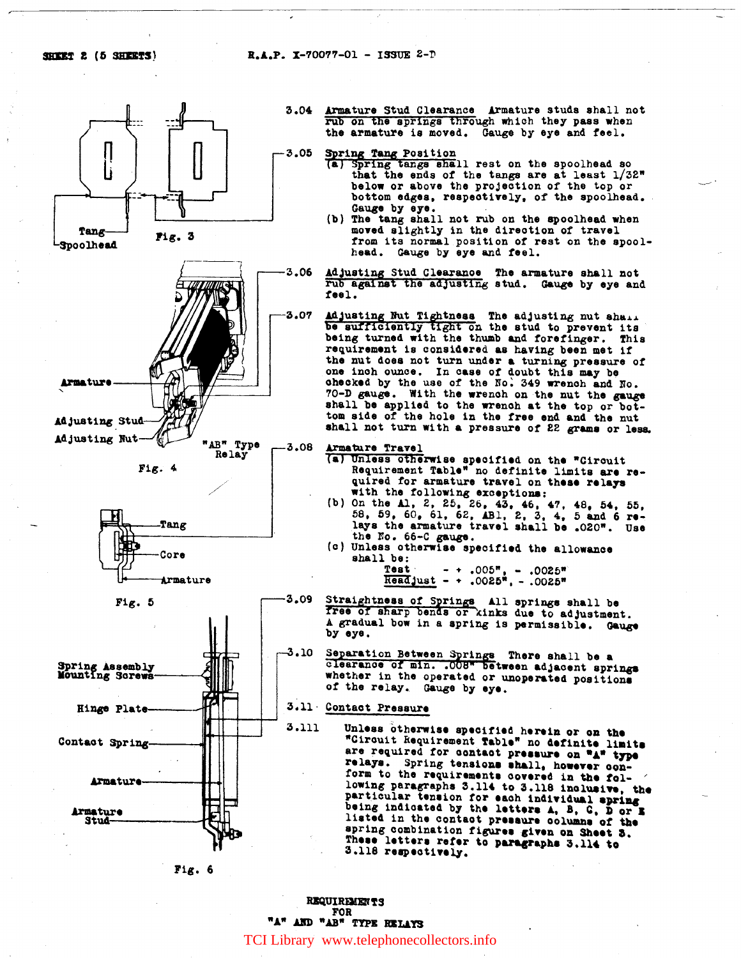

Fig. 6

**REQUIREMENTS** FOR "A" AND "AB" TYPE RELAYS

TCI Library www.telephonecollectors.info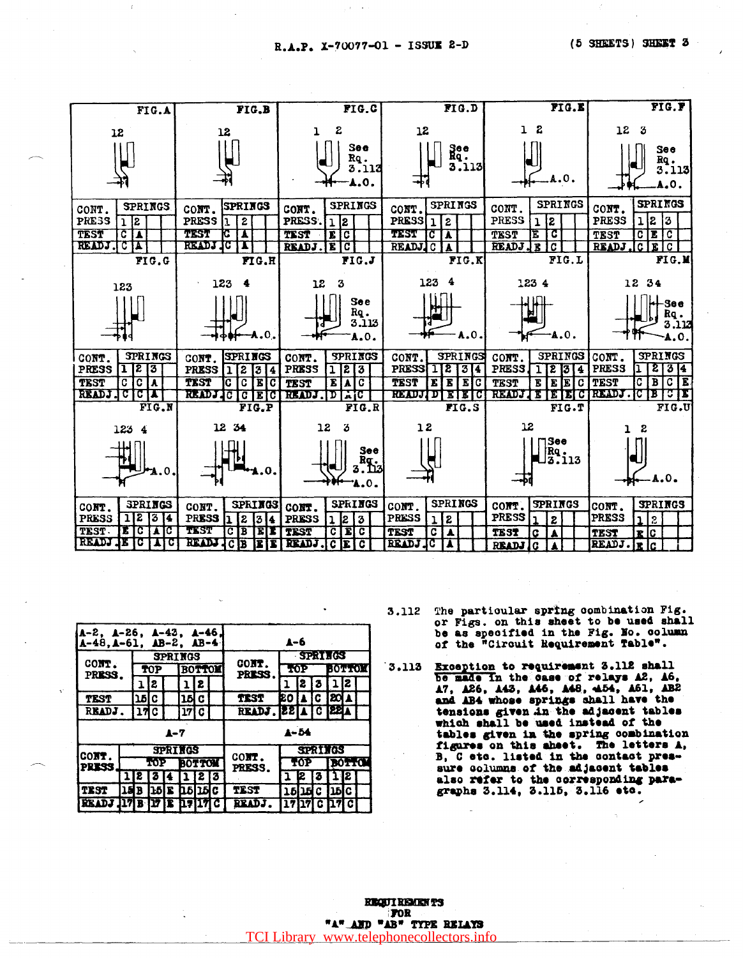R.A.P. X-70077-01 - ISSUE 2-D



| А-2, А-26, А-43, А-46,<br>$A-48$ , $A-61$ , $AB-2$ , $AB-4$ |      |        |     |    |                |          | A-6   |                       |                |     |             |               |    |  |
|-------------------------------------------------------------|------|--------|-----|----|----------------|----------|-------|-----------------------|----------------|-----|-------------|---------------|----|--|
| CONT.<br>PRESS.                                             |      |        |     |    | <b>SPRINGS</b> |          |       | CONT.                 | <b>SPRIMGS</b> |     |             |               |    |  |
|                                                             |      | TOP    |     |    | <b>BOTTOM</b>  |          |       | <b>PRESS</b>          | TOP            |     |             | (0.44.0)      |    |  |
|                                                             |      |        | 12  |    |                | 2        |       |                       |                | 12. | 2           | 1             | 12 |  |
| <b>TEST</b>                                                 |      | 15 I C |     |    | 15 C           |          |       | TIST                  | EO IA IC IEO A |     |             |               |    |  |
| READJ.                                                      |      | 17 C   |     |    | 17  C          |          |       | READJ. 22 A C 22A     |                |     |             |               |    |  |
| A-7                                                         |      |        |     |    |                | $4 - 54$ |       |                       |                |     |             |               |    |  |
| CONT.<br><b>PRESS</b>                                       |      |        |     |    | <b>SPRINGS</b> |          |       |                       | <b>SPRINGS</b> |     |             |               |    |  |
|                                                             |      |        | TOP |    | <b>BOTTOM</b>  |          |       | CONT.<br><b>PRESS</b> | TOP            |     |             | <b>BOTTOM</b> |    |  |
|                                                             |      | 2      | 3   |    |                |          | 2 1 3 |                       | 2 ב            |     |             |               | 12 |  |
| <b>TEST</b>                                                 | 15 B |        | Ъħ  | I. | рене           |          |       | <b>TEST</b>           |                |     | 15   15   C | пыс           |    |  |
| <b>READJ</b>                                                |      |        |     |    |                |          |       | READ.                 | 17             |     | Ω.          |               |    |  |

- The particular spring combination Fig. 3.112 or Figs. on this sheet to be used shall be as specified in the Fig. No. column of the "Circuit Requirement Table".
- $3.113$ Exception to requirement 3.112 shall be made in the case of relays A2, A6, 17, 126, 143, 146, 148, 454, 161, 182 tensions given in the adjacent tables which shall be used instead of the tables given in the spring combination figures on this abset. The letters A, B, C etc. listed in the contact pressure columns of the adjacent tables also refer to the corresponding para-graphs 3.114, 3.115, 3.116 etc.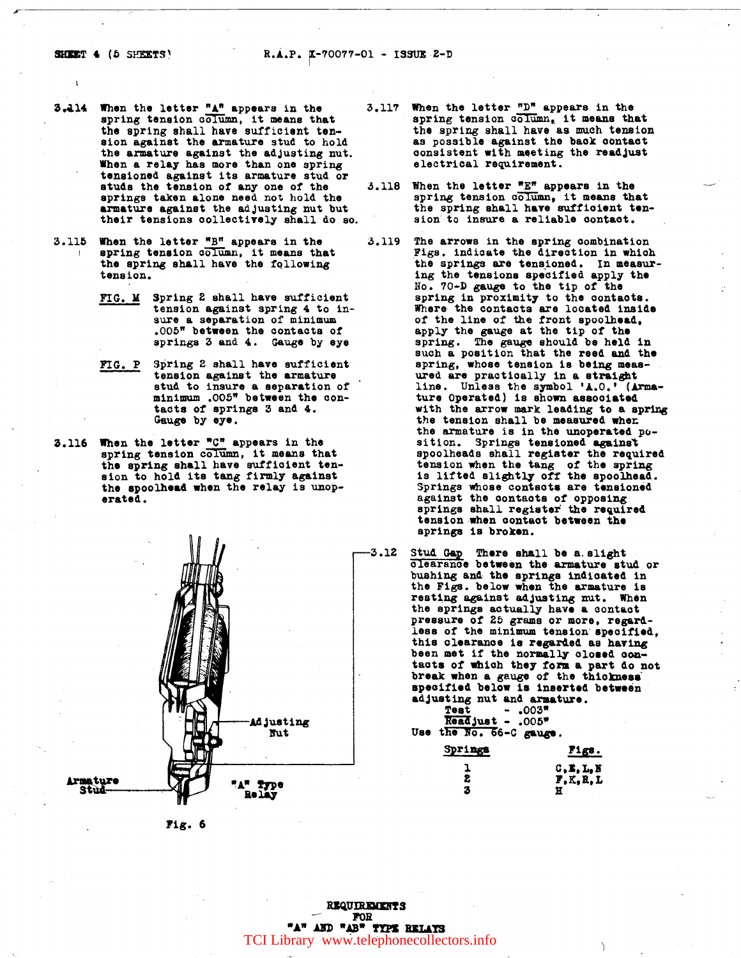- 3.414 When the letter  $\frac{n_A n}{4}$  appears in the spring tension column, it means that the spring shall have sufficient tension against the armature stud to hold the armature against the adjusting nut. When a relay has more than one spring tensioned against its armature stud or studs the tension of any one of the springs taken alone need not hold the armature against the adjusting nut but their tensions collectively shall do so.
- 3.115 When the letter **"B"** appears in the spring tension column, it means that the spring shall have the following tension.
	- FIG. M Spring 2 shall have sufficient tension against spring 4 to in-<br>sure a separation of minimum  $.005$ <sup>w</sup> between the contacts of springs 3 and 4. Gauge by eye
	- FIG. P Spring 2 shall have sufficient tension against the armature stud to insure a separation of minimum .ooo" between the contacts of springs 3 and 4. Gauge by eye.
- 3.116 When the letter  $"C"$  appears in the spring tension column, it means that the spring shall have sufficient tension to hold its tang firmly against the spoolhead when the relay is unoperated.



Pig. 6

electrical requirement.

- 3.118 When the letter  $E^{\pi}$  appears in the spring tension column, it means that the spring shall have sufficient tension to insure a reliable contact.
- 3.119 The arrows in the spring combination Figs. indicate the direction in which the springs are tensioned. In measuring the tensions specified apply the Ho. 70-D gauge to the tip of the spring in proximity to the contacts. Where the contacts are located inside of the line of the front spoolhe&4, apply the gauge at the tip of the spring. The gauge should be held in such a position that the reed and the spring, whose tension is being measured are practically in a straight line. Unless the symbol 'A.O.' (Armaline. Unless the symbol 'A.O.' (Arma-<br>ture Operated) is shown associated with the arrow mark leading to a spring the tension shall be measured when the armature is in the unoperated  $po$ sition. Springs tensioned against spoolheads shall register the required<br>tension when the tang of the spring is lifted slightly off the spoolhead. Springs whose contacts are tensioned against the contacts of opposing springs shall register the required tension when contact between the springs is broken.
- -3.12 Stud Gap There shall be a. slight clearance between the armature stud or bushing and the springs indicated in the Figs. below when the armature is resting against adjusting nut. When the springs actually have a contact pressure of 25 grams or more, regard-<br>less of the minimum tension specified, this clearance is regarded as having<br>been met if the normally closed conbeen met if the normally closed con-<br>tacts of which they form a part do not break when a gauge of the thiolmess specified below ia inserted between adjusting nut and armature.  $Test$  - .003\*  $\frac{0.0054}{0.0054}$ Use the No. 66-C gauge.

| Springs | Figs.                                            |
|---------|--------------------------------------------------|
| 2       | C, E, L, N                                       |
| З       | $\mathbf{F}, \mathbf{K}, \mathbf{R}, \mathbf{L}$ |

**REQUIREMENTS** FOR **TA" AND "AB" TYPE BELAYS**<br>TCI Library www.telephonecollectors.info